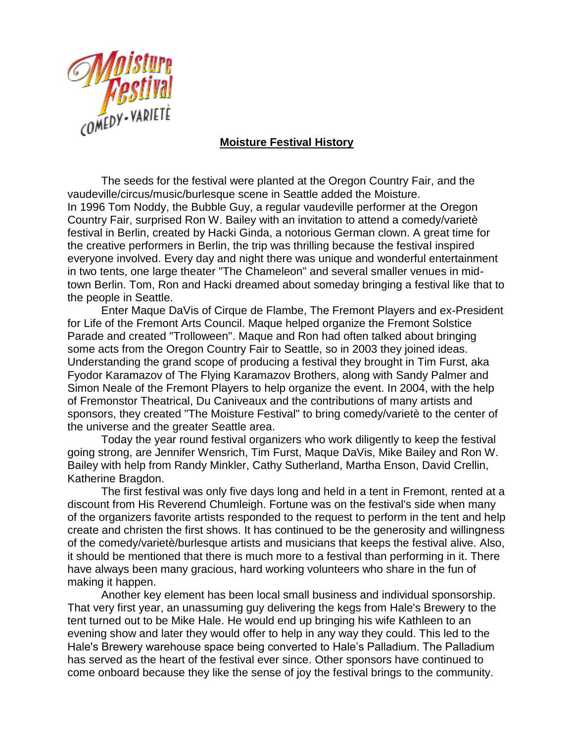

## **Moisture Festival History**

The seeds for the festival were planted at the Oregon Country Fair, and the vaudeville/circus/music/burlesque scene in Seattle added the Moisture. In 1996 Tom Noddy, the Bubble Guy, a regular vaudeville performer at the Oregon Country Fair, surprised Ron W. Bailey with an invitation to attend a comedy/varietè festival in Berlin, created by Hacki Ginda, a notorious German clown. A great time for the creative performers in Berlin, the trip was thrilling because the festival inspired everyone involved. Every day and night there was unique and wonderful entertainment in two tents, one large theater "The Chameleon" and several smaller venues in midtown Berlin. Tom, Ron and Hacki dreamed about someday bringing a festival like that to the people in Seattle.

Enter Maque DaVis of Cirque de Flambe, The Fremont Players and ex-President for Life of the Fremont Arts Council. Maque helped organize the Fremont Solstice Parade and created "Trolloween". Maque and Ron had often talked about bringing some acts from the Oregon Country Fair to Seattle, so in 2003 they joined ideas. Understanding the grand scope of producing a festival they brought in Tim Furst, aka Fyodor Karamazov of The Flying Karamazov Brothers, along with Sandy Palmer and Simon Neale of the Fremont Players to help organize the event. In 2004, with the help of Fremonstor Theatrical, Du Caniveaux and the contributions of many artists and sponsors, they created "The Moisture Festival" to bring comedy/varietè to the center of the universe and the greater Seattle area.

Today the year round festival organizers who work diligently to keep the festival going strong, are Jennifer Wensrich, Tim Furst, Maque DaVis, Mike Bailey and Ron W. Bailey with help from Randy Minkler, Cathy Sutherland, Martha Enson, David Crellin, Katherine Bragdon.

The first festival was only five days long and held in a tent in Fremont, rented at a discount from His Reverend Chumleigh. Fortune was on the festival's side when many of the organizers favorite artists responded to the request to perform in the tent and help create and christen the first shows. It has continued to be the generosity and willingness of the comedy/varietè/burlesque artists and musicians that keeps the festival alive. Also, it should be mentioned that there is much more to a festival than performing in it. There have always been many gracious, hard working volunteers who share in the fun of making it happen.

Another key element has been local small business and individual sponsorship. That very first year, an unassuming guy delivering the kegs from Hale's Brewery to the tent turned out to be Mike Hale. He would end up bringing his wife Kathleen to an evening show and later they would offer to help in any way they could. This led to the Hale's Brewery warehouse space being converted to Hale's Palladium. The Palladium has served as the heart of the festival ever since. Other sponsors have continued to come onboard because they like the sense of joy the festival brings to the community.